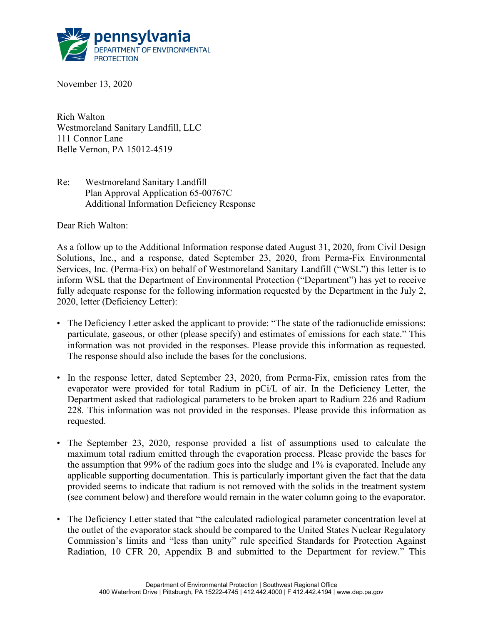

November 13, 2020

Rich Walton Westmoreland Sanitary Landfill, LLC 111 Connor Lane Belle Vernon, PA 15012-4519

Re: Westmoreland Sanitary Landfill Plan Approval Application 65-00767C Additional Information Deficiency Response

Dear Rich Walton:

As a follow up to the Additional Information response dated August 31, 2020, from Civil Design Solutions, Inc., and a response, dated September 23, 2020, from Perma-Fix Environmental Services, Inc. (Perma-Fix) on behalf of Westmoreland Sanitary Landfill ("WSL") this letter is to inform WSL that the Department of Environmental Protection ("Department") has yet to receive fully adequate response for the following information requested by the Department in the July 2, 2020, letter (Deficiency Letter):

- The Deficiency Letter asked the applicant to provide: "The state of the radionuclide emissions: particulate, gaseous, or other (please specify) and estimates of emissions for each state." This information was not provided in the responses. Please provide this information as requested. The response should also include the bases for the conclusions.
- In the response letter, dated September 23, 2020, from Perma-Fix, emission rates from the evaporator were provided for total Radium in pCi/L of air. In the Deficiency Letter, the Department asked that radiological parameters to be broken apart to Radium 226 and Radium 228. This information was not provided in the responses. Please provide this information as requested.
- The September 23, 2020, response provided a list of assumptions used to calculate the maximum total radium emitted through the evaporation process. Please provide the bases for the assumption that 99% of the radium goes into the sludge and 1% is evaporated. Include any applicable supporting documentation. This is particularly important given the fact that the data provided seems to indicate that radium is not removed with the solids in the treatment system (see comment below) and therefore would remain in the water column going to the evaporator.
- The Deficiency Letter stated that "the calculated radiological parameter concentration level at the outlet of the evaporator stack should be compared to the United States Nuclear Regulatory Commission's limits and "less than unity" rule specified Standards for Protection Against Radiation, 10 CFR 20, Appendix B and submitted to the Department for review." This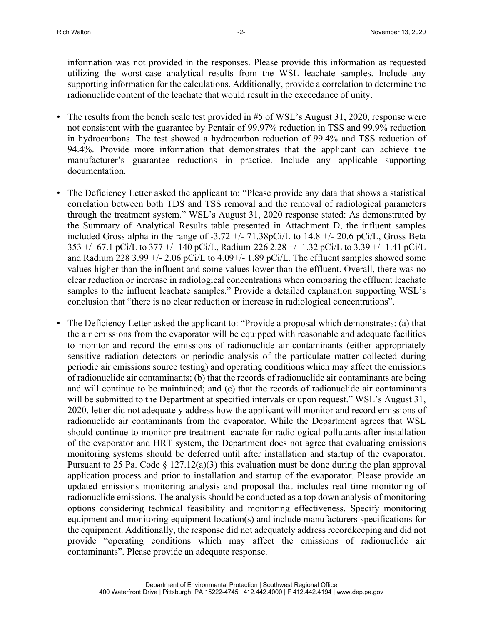information was not provided in the responses. Please provide this information as requested utilizing the worst-case analytical results from the WSL leachate samples. Include any supporting information for the calculations. Additionally, provide a correlation to determine the radionuclide content of the leachate that would result in the exceedance of unity.

- The results from the bench scale test provided in #5 of WSL's August 31, 2020, response were not consistent with the guarantee by Pentair of 99.97% reduction in TSS and 99.9% reduction in hydrocarbons. The test showed a hydrocarbon reduction of 99.4% and TSS reduction of 94.4%. Provide more information that demonstrates that the applicant can achieve the manufacturer's guarantee reductions in practice. Include any applicable supporting documentation.
- The Deficiency Letter asked the applicant to: "Please provide any data that shows a statistical correlation between both TDS and TSS removal and the removal of radiological parameters through the treatment system." WSL's August 31, 2020 response stated: As demonstrated by the Summary of Analytical Results table presented in Attachment D, the influent samples included Gross alpha in the range of -3.72 +/- 71.38pCi/L to 14.8 +/- 20.6 pCi/L, Gross Beta 353 +/- 67.1 pCi/L to 377 +/- 140 pCi/L, Radium-226 2.28 +/- 1.32 pCi/L to 3.39 +/- 1.41 pCi/L and Radium 228 3.99  $+/- 2.06$  pCi/L to 4.09 $+/- 1.89$  pCi/L. The effluent samples showed some values higher than the influent and some values lower than the effluent. Overall, there was no clear reduction or increase in radiological concentrations when comparing the effluent leachate samples to the influent leachate samples." Provide a detailed explanation supporting WSL's conclusion that "there is no clear reduction or increase in radiological concentrations".
- The Deficiency Letter asked the applicant to: "Provide a proposal which demonstrates: (a) that the air emissions from the evaporator will be equipped with reasonable and adequate facilities to monitor and record the emissions of radionuclide air contaminants (either appropriately sensitive radiation detectors or periodic analysis of the particulate matter collected during periodic air emissions source testing) and operating conditions which may affect the emissions of radionuclide air contaminants; (b) that the records of radionuclide air contaminants are being and will continue to be maintained; and (c) that the records of radionuclide air contaminants will be submitted to the Department at specified intervals or upon request." WSL's August 31, 2020, letter did not adequately address how the applicant will monitor and record emissions of radionuclide air contaminants from the evaporator. While the Department agrees that WSL should continue to monitor pre-treatment leachate for radiological pollutants after installation of the evaporator and HRT system, the Department does not agree that evaluating emissions monitoring systems should be deferred until after installation and startup of the evaporator. Pursuant to 25 Pa. Code  $\S 127.12(a)(3)$  this evaluation must be done during the plan approval application process and prior to installation and startup of the evaporator. Please provide an updated emissions monitoring analysis and proposal that includes real time monitoring of radionuclide emissions. The analysis should be conducted as a top down analysis of monitoring options considering technical feasibility and monitoring effectiveness. Specify monitoring equipment and monitoring equipment location(s) and include manufacturers specifications for the equipment. Additionally, the response did not adequately address recordkeeping and did not provide "operating conditions which may affect the emissions of radionuclide air contaminants". Please provide an adequate response.